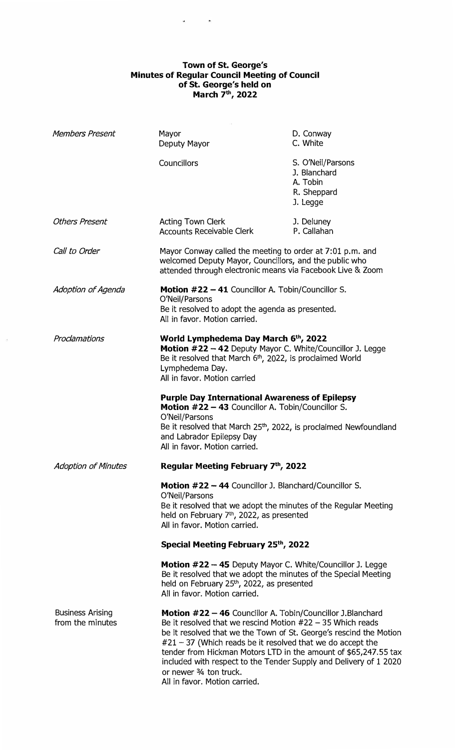## **Town of St. George's Minutes of Regular Council Meeting of Council of St. George's held on March 7 th , 2022**

| <b>Members Present</b>                      | Mayor<br>Deputy Mayor                                                                                                                                                                                                                                                                                                                                                                                                                                                | D. Conway<br>C. White                                                    |
|---------------------------------------------|----------------------------------------------------------------------------------------------------------------------------------------------------------------------------------------------------------------------------------------------------------------------------------------------------------------------------------------------------------------------------------------------------------------------------------------------------------------------|--------------------------------------------------------------------------|
|                                             | Councillors                                                                                                                                                                                                                                                                                                                                                                                                                                                          | S. O'Neil/Parsons<br>J. Blanchard<br>A. Tobin<br>R. Sheppard<br>J. Legge |
| <b>Others Present</b>                       | <b>Acting Town Clerk</b><br><b>Accounts Receivable Clerk</b>                                                                                                                                                                                                                                                                                                                                                                                                         | J. Deluney<br>P. Callahan                                                |
| Call to Order                               | Mayor Conway called the meeting to order at 7:01 p.m. and<br>welcomed Deputy Mayor, Councillors, and the public who<br>attended through electronic means via Facebook Live & Zoom                                                                                                                                                                                                                                                                                    |                                                                          |
| Adoption of Agenda                          | <b>Motion #22 - 41 Councillor A. Tobin/Councillor S.</b><br>O'Neil/Parsons<br>Be it resolved to adopt the agenda as presented.<br>All in favor. Motion carried.                                                                                                                                                                                                                                                                                                      |                                                                          |
| Proclamations                               | World Lymphedema Day March 6th, 2022<br>Motion #22 - 42 Deputy Mayor C. White/Councillor J. Legge<br>Be it resolved that March $6th$ , 2022, is proclaimed World<br>Lymphedema Day.<br>All in favor. Motion carried                                                                                                                                                                                                                                                  |                                                                          |
|                                             | <b>Purple Day International Awareness of Epilepsy</b><br>Motion #22 - 43 Councillor A. Tobin/Councillor S.<br>O'Neil/Parsons<br>Be it resolved that March 25 <sup>th</sup> , 2022, is proclaimed Newfoundland<br>and Labrador Epilepsy Day<br>All in favor. Motion carried.                                                                                                                                                                                          |                                                                          |
| Adoption of Minutes                         | Regular Meeting February 7th, 2022                                                                                                                                                                                                                                                                                                                                                                                                                                   |                                                                          |
|                                             | <b>Motion #22 - 44 Councillor J. Blanchard/Councillor S.</b><br>O'Neil/Parsons<br>Be it resolved that we adopt the minutes of the Regular Meeting<br>held on February 7th, 2022, as presented<br>All in favor. Motion carried.                                                                                                                                                                                                                                       |                                                                          |
|                                             | Special Meeting February 25th, 2022                                                                                                                                                                                                                                                                                                                                                                                                                                  |                                                                          |
|                                             | Motion #22 - 45 Deputy Mayor C. White/Councillor J. Legge<br>Be it resolved that we adopt the minutes of the Special Meeting<br>held on February 25 <sup>th</sup> , 2022, as presented<br>All in favor. Motion carried.                                                                                                                                                                                                                                              |                                                                          |
| <b>Business Arising</b><br>from the minutes | Motion #22 - 46 Councillor A. Tobin/Councillor J.Blanchard<br>Be it resolved that we rescind Motion $#22 - 35$ Which reads<br>be it resolved that we the Town of St. George's rescind the Motion<br>$#21 - 37$ (Which reads be it resolved that we do accept the<br>tender from Hickman Motors LTD in the amount of \$65,247.55 tax<br>included with respect to the Tender Supply and Delivery of 1 2020<br>or newer 3/4 ton truck.<br>All in favor. Motion carried. |                                                                          |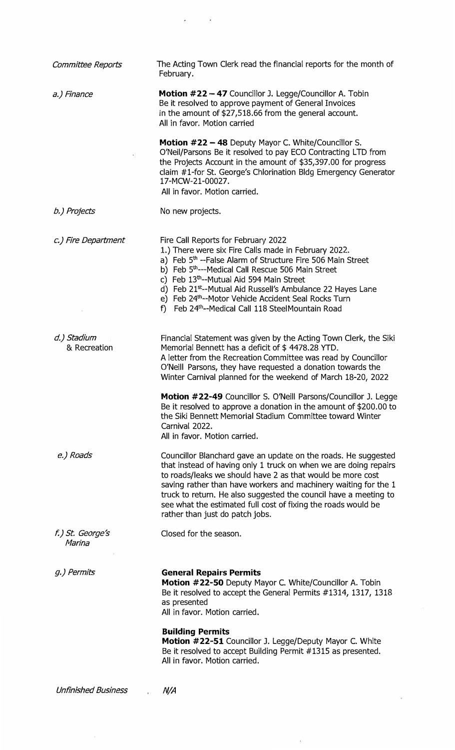| Committee Reports           | The Acting Town Clerk read the financial reports for the month of<br>February.                                                                                                                                                                                                                                                                                                                                                                                         |
|-----------------------------|------------------------------------------------------------------------------------------------------------------------------------------------------------------------------------------------------------------------------------------------------------------------------------------------------------------------------------------------------------------------------------------------------------------------------------------------------------------------|
| a.) Finance                 | Motion #22 - 47 Councillor J. Legge/Councillor A. Tobin<br>Be it resolved to approve payment of General Invoices<br>in the amount of \$27,518.66 from the general account.<br>All in favor. Motion carried                                                                                                                                                                                                                                                             |
| ¥,                          | Motion #22 - 48 Deputy Mayor C. White/Councillor S.<br>O'Neil/Parsons Be it resolved to pay ECO Contracting LTD from<br>the Projects Account in the amount of \$35,397.00 for progress<br>claim #1-for St. George's Chlorination Bldg Emergency Generator<br>17-MCW-21-00027.<br>All in favor. Motion carried.                                                                                                                                                         |
| b.) Projects                | No new projects.                                                                                                                                                                                                                                                                                                                                                                                                                                                       |
| c.) Fire Department         | Fire Call Reports for February 2022<br>1.) There were six Fire Calls made in February 2022.<br>a) Feb 5 <sup>th</sup> --False Alarm of Structure Fire 506 Main Street<br>b) Feb 5th---Medical Call Rescue 506 Main Street<br>c) Feb 13th--Mutual Aid 594 Main Street<br>d) Feb 21 <sup>st</sup> --Mutual Aid Russell's Ambulance 22 Hayes Lane<br>e) Feb 24th--Motor Vehicle Accident Seal Rocks Turn<br>f) Feb 24 <sup>th</sup> --Medical Call 118 SteelMountain Road |
| d.) Stadium<br>& Recreation | Financial Statement was given by the Acting Town Clerk, the Siki<br>Memorial Bennett has a deficit of \$4478.28 YTD.<br>A letter from the Recreation Committee was read by Councillor<br>O'Neill Parsons, they have requested a donation towards the<br>Winter Carnival planned for the weekend of March 18-20, 2022                                                                                                                                                   |
|                             | <b>Motion #22-49</b> Councillor S. O'Neill Parsons/Councillor J. Legge<br>Be it resolved to approve a donation in the amount of \$200.00 to<br>the Siki Bennett Memorial Stadium Committee toward Winter<br>Carnival 2022.<br>All in favor. Motion carried.                                                                                                                                                                                                            |
| e.) Roads                   | Councillor Blanchard gave an update on the roads. He suggested<br>that instead of having only 1 truck on when we are doing repairs<br>to roads/leaks we should have 2 as that would be more cost<br>saving rather than have workers and machinery waiting for the 1<br>truck to return. He also suggested the council have a meeting to<br>see what the estimated full cost of fixing the roads would be<br>rather than just do patch jobs.                            |
| f.) St. George's<br>Marina  | Closed for the season.                                                                                                                                                                                                                                                                                                                                                                                                                                                 |
| g.) Permits                 | <b>General Repairs Permits</b><br>Motion #22-50 Deputy Mayor C. White/Councillor A. Tobin<br>Be it resolved to accept the General Permits #1314, 1317, 1318<br>as presented<br>All in favor. Motion carried.<br><b>Building Permits</b><br><b>Motion #22-51</b> Councillor J. Legge/Deputy Mayor C. White<br>Be it resolved to accept Building Permit #1315 as presented.<br>All in favor. Motion carried.                                                             |
| <b>Unfinished Business</b>  | N/A                                                                                                                                                                                                                                                                                                                                                                                                                                                                    |

 $\tilde{\mathbf{x}}$ 

 $\tilde{s}=-\tilde{s}$